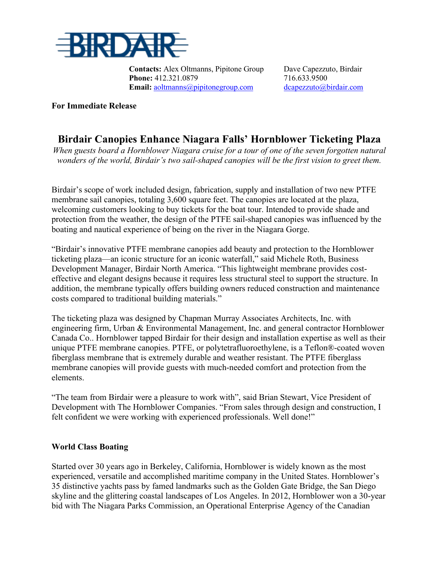

**Contacts:** Alex Oltmanns, Pipitone Group Dave Capezzuto, Birdair **Phone:** 412.321.0879 716.633.9500 **Email:** [aoltmanns@pipitonegroup.com](mailto:aoltmanns@pipitonegroup.com) [dcapezzuto@birdair.com](mailto:dcapezzuto@birdair.com)

### **For Immediate Release**

# **Birdair Canopies Enhance Niagara Falls' Hornblower Ticketing Plaza**

*When guests board a Hornblower Niagara cruise for a tour of one of the seven forgotten natural wonders of the world, Birdair's two sail-shaped canopies will be the first vision to greet them.*

Birdair's scope of work included design, fabrication, supply and installation of two new PTFE membrane sail canopies, totaling 3,600 square feet. The canopies are located at the plaza, welcoming customers looking to buy tickets for the boat tour. Intended to provide shade and protection from the weather, the design of the PTFE sail-shaped canopies was influenced by the boating and nautical experience of being on the river in the Niagara Gorge.

"Birdair's innovative PTFE membrane canopies add beauty and protection to the Hornblower ticketing plaza—an iconic structure for an iconic waterfall," said Michele Roth, Business Development Manager, Birdair North America. "This lightweight membrane provides costeffective and elegant designs because it requires less structural steel to support the structure. In addition, the membrane typically offers building owners reduced construction and maintenance costs compared to traditional building materials."

The ticketing plaza was designed by Chapman Murray Associates Architects, Inc. with engineering firm, Urban & Environmental Management, Inc. and general contractor Hornblower Canada Co.. Hornblower tapped Birdair for their design and installation expertise as well as their unique PTFE membrane canopies. PTFE, or polytetrafluoroethylene, is a Teflon®-coated woven fiberglass membrane that is extremely durable and weather resistant. The PTFE fiberglass membrane canopies will provide guests with much-needed comfort and protection from the elements.

"The team from Birdair were a pleasure to work with", said Brian Stewart, Vice President of Development with The Hornblower Companies. "From sales through design and construction, I felt confident we were working with experienced professionals. Well done!"

## **World Class Boating**

Started over 30 years ago in Berkeley, California, Hornblower is widely known as the most experienced, versatile and accomplished maritime company in the United States. Hornblower's 35 distinctive yachts pass by famed landmarks such as the Golden Gate Bridge, the San Diego skyline and the glittering coastal landscapes of Los Angeles. In 2012, Hornblower won a 30-year bid with The Niagara Parks Commission, an Operational Enterprise Agency of the Canadian